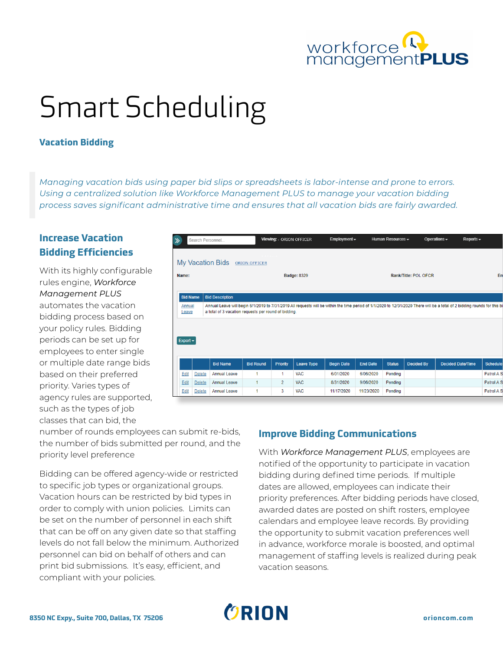

# Smart Scheduling

#### **Vacation Bidding**

*Managing vacation bids using paper bid slips or spreadsheets is labor-intense and prone to errors. Using a centralized solution like Workforce Management PLUS to manage your vacation bidding process saves significant administrative time and ensures that all vacation bids are fairly awarded.*

## **Increase Vacation Bidding Efficiencies**

With its highly configurable rules engine, *Workforce Management PLUS* automates the vacation bidding process based on your policy rules. Bidding periods can be set up for employees to enter single or multiple date range bids based on their preferred priority. Varies types of agency rules are supported, such as the types of job classes that can bid, the

|                                                                                                                                                                                                                                                      | Search Personnel |                        |                      | Viewing: ORION OFFICER |                   | Employment $\blacktriangleright$ |                      | Human Resources <del>▼</del> |                   | Operations - | Reports $\sim$           |                 |
|------------------------------------------------------------------------------------------------------------------------------------------------------------------------------------------------------------------------------------------------------|------------------|------------------------|----------------------|------------------------|-------------------|----------------------------------|----------------------|------------------------------|-------------------|--------------|--------------------------|-----------------|
|                                                                                                                                                                                                                                                      |                  | My Vacation Bids       | <b>ORION OFFICER</b> |                        |                   |                                  |                      |                              |                   |              |                          |                 |
| Name:                                                                                                                                                                                                                                                |                  | <b>Badge: 8329</b>     |                      |                        |                   |                                  | Rank/Title: POL OFCR |                              |                   |              |                          | Em              |
| <b>Bid Name</b>                                                                                                                                                                                                                                      |                  | <b>Bid Description</b> |                      |                        |                   |                                  |                      |                              |                   |              |                          |                 |
| Annual Leave will begin 6/1/2019 to 7/31/2019 All requests will be within the time period of 1/1/2020 to 12/31/2020 There will be a total of 2 bidding rounds for this bi<br>Annual<br>a total of 3 vacation requests per round of bidding.<br>Leave |                  |                        |                      |                        |                   |                                  |                      |                              |                   |              |                          |                 |
|                                                                                                                                                                                                                                                      |                  |                        |                      |                        |                   |                                  |                      |                              |                   |              |                          |                 |
|                                                                                                                                                                                                                                                      |                  |                        |                      |                        |                   |                                  |                      |                              |                   |              |                          |                 |
| $Export -$                                                                                                                                                                                                                                           |                  |                        |                      |                        |                   |                                  |                      |                              |                   |              |                          |                 |
|                                                                                                                                                                                                                                                      |                  | <b>Bid Name</b>        | <b>Bid Round</b>     | <b>Priority</b>        | <b>Leave Type</b> | <b>Begin Date</b>                | <b>End Date</b>      | <b>Status</b>                | <b>Decided By</b> |              | <b>Decided Date/Time</b> | <b>Schedule</b> |
| Edit                                                                                                                                                                                                                                                 | <b>Delete</b>    | <b>Annual Leave</b>    | 1                    | 1                      | <b>VAC</b>        | 6/01/2020                        | 6/06/2020            | Pending                      |                   |              |                          | Patrol A S      |
| Edit                                                                                                                                                                                                                                                 | <b>Delete</b>    | <b>Annual Leave</b>    | 1                    | $\overline{2}$         | <b>VAC</b>        | 8/31/2020                        | 9/06/2020            | Pendina                      |                   |              |                          | Patrol A S      |

number of rounds employees can submit re-bids, the number of bids submitted per round, and the priority level preference

Bidding can be offered agency-wide or restricted to specific job types or organizational groups. Vacation hours can be restricted by bid types in order to comply with union policies. Limits can be set on the number of personnel in each shift that can be off on any given date so that staffing levels do not fall below the minimum. Authorized personnel can bid on behalf of others and can print bid submissions. It's easy, efficient, and compliant with your policies.

### **Improve Bidding Communications**

With *Workforce Management PLUS*, employees are notified of the opportunity to participate in vacation bidding during defined time periods. If multiple dates are allowed, employees can indicate their priority preferences. After bidding periods have closed, awarded dates are posted on shift rosters, employee calendars and employee leave records. By providing the opportunity to submit vacation preferences well in advance, workforce morale is boosted, and optimal management of staffing levels is realized during peak vacation seasons.